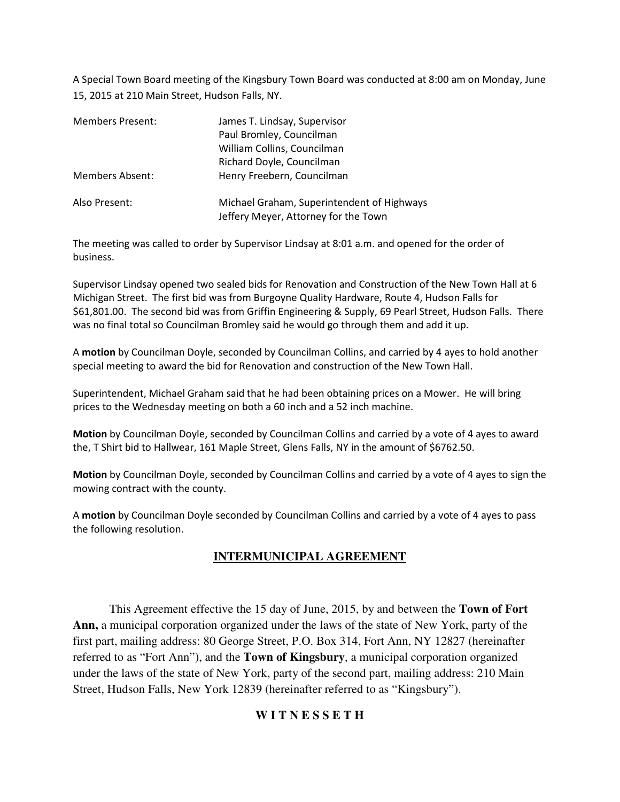A Special Town Board meeting of the Kingsbury Town Board was conducted at 8:00 am on Monday, June 15, 2015 at 210 Main Street, Hudson Falls, NY.

| <b>Members Present:</b> | James T. Lindsay, Supervisor<br>Paul Bromley, Councilman<br>William Collins, Councilman<br>Richard Doyle, Councilman |  |
|-------------------------|----------------------------------------------------------------------------------------------------------------------|--|
| Members Absent:         | Henry Freebern, Councilman                                                                                           |  |
| Also Present:           | Michael Graham, Superintendent of Highways<br>Jeffery Meyer, Attorney for the Town                                   |  |

The meeting was called to order by Supervisor Lindsay at 8:01 a.m. and opened for the order of business.

Supervisor Lindsay opened two sealed bids for Renovation and Construction of the New Town Hall at 6 Michigan Street. The first bid was from Burgoyne Quality Hardware, Route 4, Hudson Falls for \$61,801.00. The second bid was from Griffin Engineering & Supply, 69 Pearl Street, Hudson Falls. There was no final total so Councilman Bromley said he would go through them and add it up.

A **motion** by Councilman Doyle, seconded by Councilman Collins, and carried by 4 ayes to hold another special meeting to award the bid for Renovation and construction of the New Town Hall.

Superintendent, Michael Graham said that he had been obtaining prices on a Mower. He will bring prices to the Wednesday meeting on both a 60 inch and a 52 inch machine.

**Motion** by Councilman Doyle, seconded by Councilman Collins and carried by a vote of 4 ayes to award the, T Shirt bid to Hallwear, 161 Maple Street, Glens Falls, NY in the amount of \$6762.50.

**Motion** by Councilman Doyle, seconded by Councilman Collins and carried by a vote of 4 ayes to sign the mowing contract with the county.

A **motion** by Councilman Doyle seconded by Councilman Collins and carried by a vote of 4 ayes to pass the following resolution.

# **INTERMUNICIPAL AGREEMENT**

This Agreement effective the 15 day of June, 2015, by and between the **Town of Fort Ann,** a municipal corporation organized under the laws of the state of New York, party of the first part, mailing address: 80 George Street, P.O. Box 314, Fort Ann, NY 12827 (hereinafter referred to as "Fort Ann"), and the **Town of Kingsbury**, a municipal corporation organized under the laws of the state of New York, party of the second part, mailing address: 210 Main Street, Hudson Falls, New York 12839 (hereinafter referred to as "Kingsbury").

## **W I T N E S S E T H**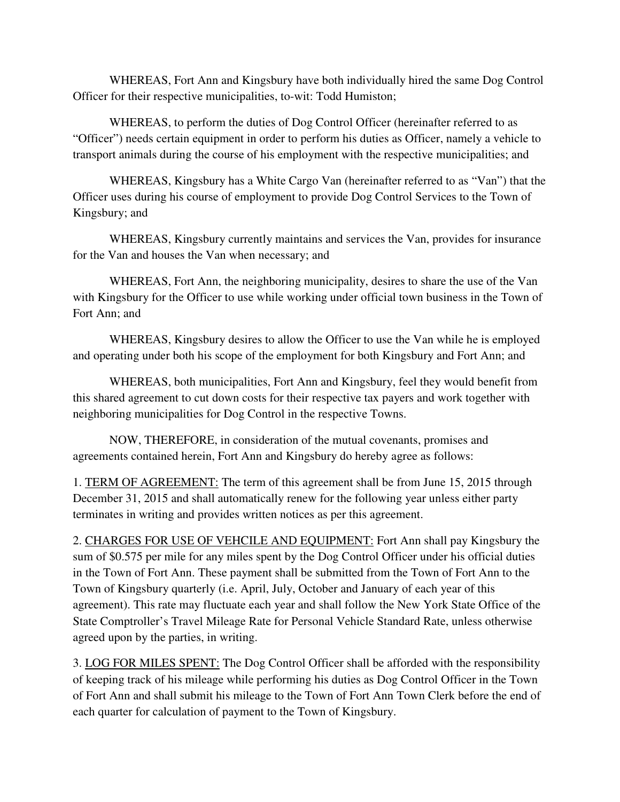WHEREAS, Fort Ann and Kingsbury have both individually hired the same Dog Control Officer for their respective municipalities, to-wit: Todd Humiston;

 WHEREAS, to perform the duties of Dog Control Officer (hereinafter referred to as "Officer") needs certain equipment in order to perform his duties as Officer, namely a vehicle to transport animals during the course of his employment with the respective municipalities; and

 WHEREAS, Kingsbury has a White Cargo Van (hereinafter referred to as "Van") that the Officer uses during his course of employment to provide Dog Control Services to the Town of Kingsbury; and

 WHEREAS, Kingsbury currently maintains and services the Van, provides for insurance for the Van and houses the Van when necessary; and

WHEREAS, Fort Ann, the neighboring municipality, desires to share the use of the Van with Kingsbury for the Officer to use while working under official town business in the Town of Fort Ann; and

WHEREAS, Kingsbury desires to allow the Officer to use the Van while he is employed and operating under both his scope of the employment for both Kingsbury and Fort Ann; and

WHEREAS, both municipalities, Fort Ann and Kingsbury, feel they would benefit from this shared agreement to cut down costs for their respective tax payers and work together with neighboring municipalities for Dog Control in the respective Towns.

NOW, THEREFORE, in consideration of the mutual covenants, promises and agreements contained herein, Fort Ann and Kingsbury do hereby agree as follows:

1. TERM OF AGREEMENT: The term of this agreement shall be from June 15, 2015 through December 31, 2015 and shall automatically renew for the following year unless either party terminates in writing and provides written notices as per this agreement.

2. CHARGES FOR USE OF VEHCILE AND EQUIPMENT: Fort Ann shall pay Kingsbury the sum of \$0.575 per mile for any miles spent by the Dog Control Officer under his official duties in the Town of Fort Ann. These payment shall be submitted from the Town of Fort Ann to the Town of Kingsbury quarterly (i.e. April, July, October and January of each year of this agreement). This rate may fluctuate each year and shall follow the New York State Office of the State Comptroller's Travel Mileage Rate for Personal Vehicle Standard Rate, unless otherwise agreed upon by the parties, in writing.

3. LOG FOR MILES SPENT: The Dog Control Officer shall be afforded with the responsibility of keeping track of his mileage while performing his duties as Dog Control Officer in the Town of Fort Ann and shall submit his mileage to the Town of Fort Ann Town Clerk before the end of each quarter for calculation of payment to the Town of Kingsbury.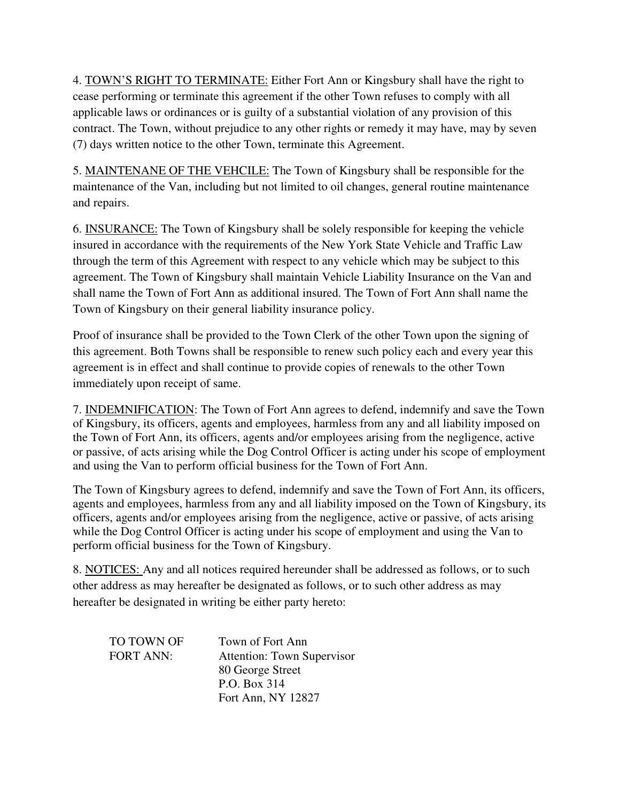4. TOWN'S RIGHT TO TERMINATE: Either Fort Ann or Kingsbury shall have the right to cease performing or terminate this agreement if the other Town refuses to comply with all applicable laws or ordinances or is guilty of a substantial violation of any provision of this contract. The Town, without prejudice to any other rights or remedy it may have, may by seven (7) days written notice to the other Town, terminate this Agreement.

5. MAINTENANE OF THE VEHCILE: The Town of Kingsbury shall be responsible for the maintenance of the Van, including but not limited to oil changes, general routine maintenance and repairs.

6. INSURANCE: The Town of Kingsbury shall be solely responsible for keeping the vehicle insured in accordance with the requirements of the New York State Vehicle and Traffic Law through the term of this Agreement with respect to any vehicle which may be subject to this agreement. The Town of Kingsbury shall maintain Vehicle Liability Insurance on the Van and shall name the Town of Fort Ann as additional insured. The Town of Fort Ann shall name the Town of Kingsbury on their general liability insurance policy.

Proof of insurance shall be provided to the Town Clerk of the other Town upon the signing of this agreement. Both Towns shall be responsible to renew such policy each and every year this agreement is in effect and shall continue to provide copies of renewals to the other Town immediately upon receipt of same.

7. INDEMNIFICATION: The Town of Fort Ann agrees to defend, indemnify and save the Town of Kingsbury, its officers, agents and employees, harmless from any and all liability imposed on the Town of Fort Ann, its officers, agents and/or employees arising from the negligence, active or passive, of acts arising while the Dog Control Officer is acting under his scope of employment and using the Van to perform official business for the Town of Fort Ann.

The Town of Kingsbury agrees to defend, indemnify and save the Town of Fort Ann, its officers, agents and employees, harmless from any and all liability imposed on the Town of Kingsbury, its officers, agents and/or employees arising from the negligence, active or passive, of acts arising while the Dog Control Officer is acting under his scope of employment and using the Van to perform official business for the Town of Kingsbury.

8. NOTICES: Any and all notices required hereunder shall be addressed as follows, or to such other address as may hereafter be designated as follows, or to such other address as may hereafter be designated in writing be either party hereto:

| TO TOWN OF       | Town of Fort Ann                  |
|------------------|-----------------------------------|
| <b>FORT ANN:</b> | <b>Attention: Town Supervisor</b> |
|                  | 80 George Street                  |
|                  | P.O. Box 314                      |
|                  | Fort Ann, NY 12827                |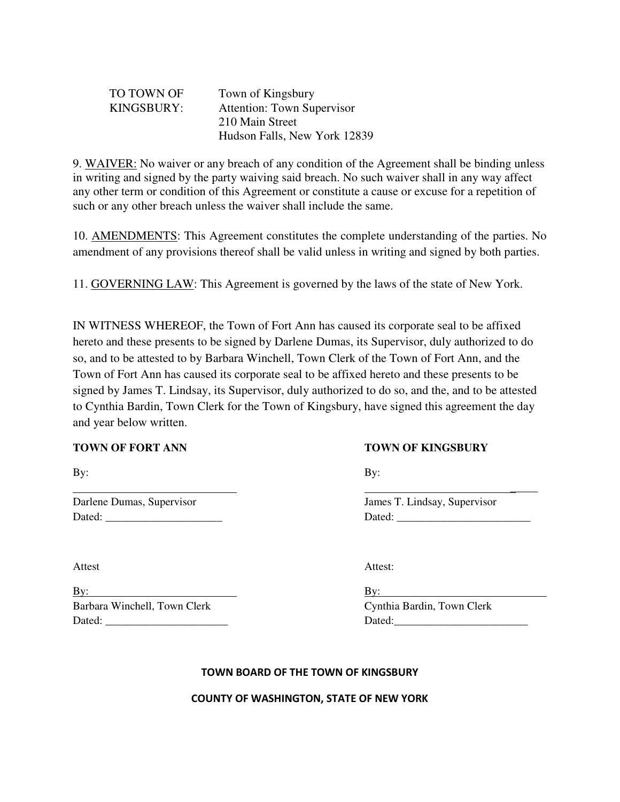| TO TOWN OF | Town of Kingsbury                 |
|------------|-----------------------------------|
| KINGSBURY: | <b>Attention: Town Supervisor</b> |
|            | 210 Main Street                   |
|            | Hudson Falls, New York 12839      |

9. WAIVER: No waiver or any breach of any condition of the Agreement shall be binding unless in writing and signed by the party waiving said breach. No such waiver shall in any way affect any other term or condition of this Agreement or constitute a cause or excuse for a repetition of such or any other breach unless the waiver shall include the same.

10. AMENDMENTS: This Agreement constitutes the complete understanding of the parties. No amendment of any provisions thereof shall be valid unless in writing and signed by both parties.

11. GOVERNING LAW: This Agreement is governed by the laws of the state of New York.

IN WITNESS WHEREOF, the Town of Fort Ann has caused its corporate seal to be affixed hereto and these presents to be signed by Darlene Dumas, its Supervisor, duly authorized to do so, and to be attested to by Barbara Winchell, Town Clerk of the Town of Fort Ann, and the Town of Fort Ann has caused its corporate seal to be affixed hereto and these presents to be signed by James T. Lindsay, its Supervisor, duly authorized to do so, and the, and to be attested to Cynthia Bardin, Town Clerk for the Town of Kingsbury, have signed this agreement the day and year below written.

By: By: Barbara Winchell, Town Clerk Cynthia Bardin, Town Clerk Dated: \_\_\_\_\_\_\_\_\_\_\_\_\_\_\_\_\_\_\_\_\_\_ Dated:\_\_\_\_\_\_\_\_\_\_\_\_\_\_\_\_\_\_\_\_\_\_\_\_

### **TOWN OF FORT ANN TOWN OF KINGSBURY**

By: By:

 $\overline{\phantom{a}}$  , and the contract of the contract of the contract of the contract of the contract of the contract of the contract of the contract of the contract of the contract of the contract of the contract of the contrac

Darlene Dumas, Supervisor James T. Lindsay, Supervisor Dated: \_\_\_\_\_\_\_\_\_\_\_\_\_\_\_\_\_\_\_\_\_ Dated: \_\_\_\_\_\_\_\_\_\_\_\_\_\_\_\_\_\_\_\_\_\_\_\_

Attest: Attest:

#### **TOWN BOARD OF THE TOWN OF KINGSBURY**

#### **COUNTY OF WASHINGTON, STATE OF NEW YORK**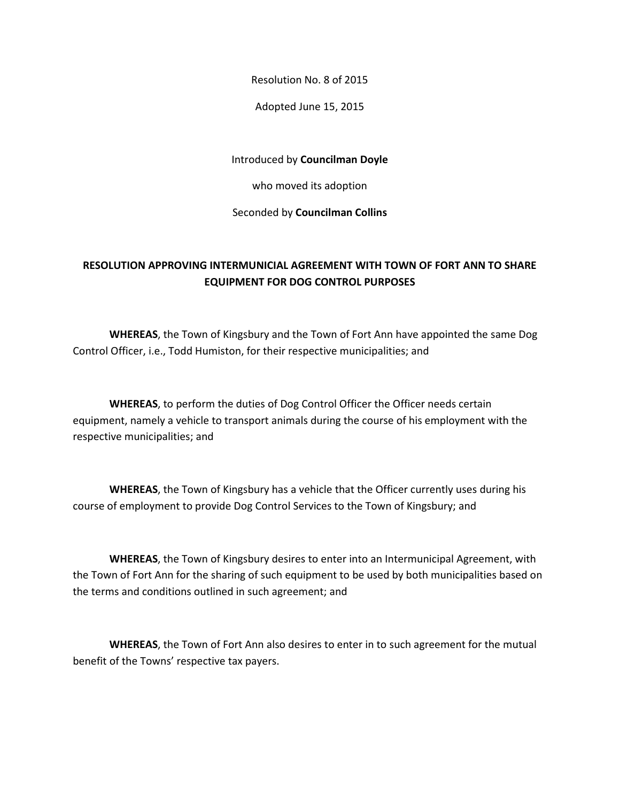Resolution No. 8 of 2015

Adopted June 15, 2015

Introduced by **Councilman Doyle**

who moved its adoption

Seconded by **Councilman Collins**

## **RESOLUTION APPROVING INTERMUNICIAL AGREEMENT WITH TOWN OF FORT ANN TO SHARE EQUIPMENT FOR DOG CONTROL PURPOSES**

 **WHEREAS**, the Town of Kingsbury and the Town of Fort Ann have appointed the same Dog Control Officer, i.e., Todd Humiston, for their respective municipalities; and

**WHEREAS**, to perform the duties of Dog Control Officer the Officer needs certain equipment, namely a vehicle to transport animals during the course of his employment with the respective municipalities; and

**WHEREAS**, the Town of Kingsbury has a vehicle that the Officer currently uses during his course of employment to provide Dog Control Services to the Town of Kingsbury; and

**WHEREAS**, the Town of Kingsbury desires to enter into an Intermunicipal Agreement, with the Town of Fort Ann for the sharing of such equipment to be used by both municipalities based on the terms and conditions outlined in such agreement; and

**WHEREAS**, the Town of Fort Ann also desires to enter in to such agreement for the mutual benefit of the Towns' respective tax payers.